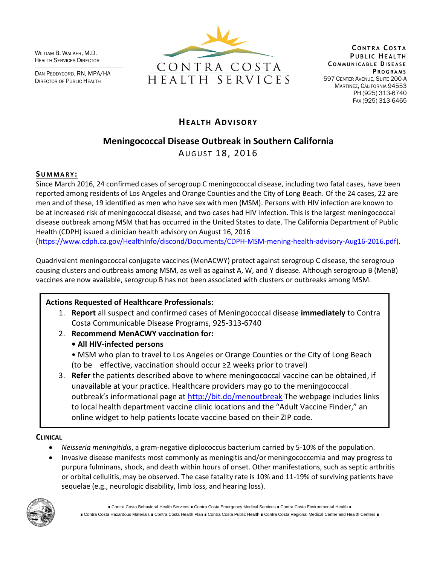WILLIAM B. WALKER, M.D. HEALTH SERVICES DIRECTOR

DAN PEDDYCORD, RN, MPA/HA DIRECTOR OF PUBLIC HEALTH



**C O N T R A C O S T A PUBLIC HEALTH C O M M U N I C A B L E DI S E A S E P R O G R A M S** 597 CENTER AVENUE, SUITE 200-A MARTINEZ, CALIFORNIA 94553 PH (925) 313-6740 FAX (925) 313-6465

## **HEALTH ADVISORY**

# **Meningococcal Disease Outbreak in Southern California**

AUGUST 18, 2016

## **SU M M A R Y :**

Since March 2016, 24 confirmed cases of serogroup C meningococcal disease, including two fatal cases, have been reported among residents of Los Angeles and Orange Counties and the City of Long Beach. Of the 24 cases, 22 are men and of these, 19 identified as men who have sex with men (MSM). Persons with HIV infection are known to be at increased risk of meningococcal disease, and two cases had HIV infection. This is the largest meningococcal disease outbreak among MSM that has occurred in the United States to date. The California Department of Public Health (CDPH) issued a clinician health advisory on August 16, 2016 [\(https://www.cdph.ca.gov/HealthInfo/discond/Documents/CDPH-MSM-mening-health-advisory-Aug16-2016.pdf\)](https://www.cdph.ca.gov/HealthInfo/discond/Documents/CDPH-MSM-mening-health-advisory-Aug16-2016.pdf).

Quadrivalent meningococcal conjugate vaccines (MenACWY) protect against serogroup C disease, the serogroup causing clusters and outbreaks among MSM, as well as against A, W, and Y disease. Although serogroup B (MenB) vaccines are now available, serogroup B has not been associated with clusters or outbreaks among MSM.

## **Actions Requested of Healthcare Professionals:**

- 1. **Report** all suspect and confirmed cases of Meningococcal disease **immediately** to Contra Costa Communicable Disease Programs, 925-313-6740
- 2. **Recommend MenACWY vaccination for:** 
	- **All HIV-infected persons**
	- MSM who plan to travel to Los Angeles or Orange Counties or the City of Long Beach (to be effective, vaccination should occur ≥2 weeks prior to travel)
- 3. **Refer** the patients described above to where meningococcal vaccine can be obtained, if unavailable at your practice. Healthcare providers may go to the meningococcal outbreak's informational page at <http://bit.do/menoutbreak> The webpage includes links to local health department vaccine clinic locations and the "Adult Vaccine Finder," an online widget to help patients locate vaccine based on their ZIP code.

## **CLINICAL**

- *Neisseria meningitidis*, a gram-negative diplococcus bacterium carried by 5-10% of the population.
- Invasive disease manifests most commonly as meningitis and/or meningococcemia and may progress to purpura fulminans, shock, and death within hours of onset. Other manifestations, such as septic arthritis or orbital cellulitis, may be observed. The case fatality rate is 10% and 11-19% of surviving patients have sequelae (e.g., neurologic disability, limb loss, and hearing loss).